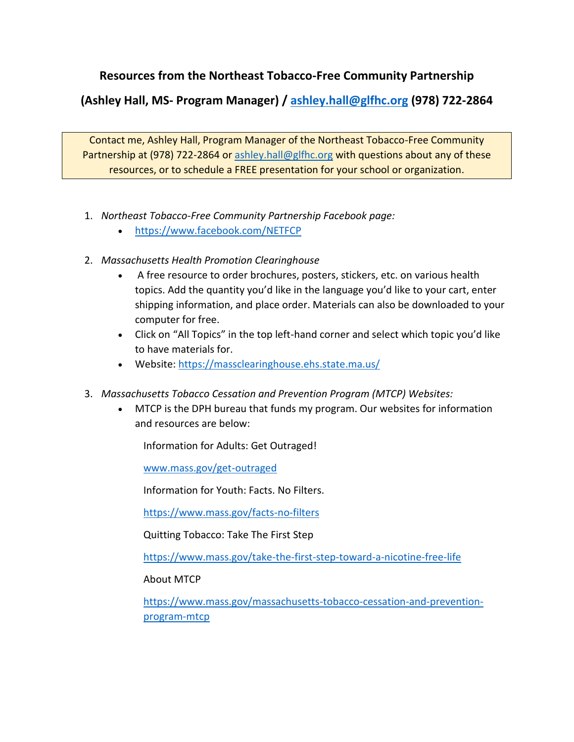## **Resources from the Northeast Tobacco-Free Community Partnership**

**(Ashley Hall, MS- Program Manager) / [ashley.hall@glfhc.org](mailto:ashley.hall@glfhc.org) (978) 722-2864**

Contact me, Ashley Hall, Program Manager of the Northeast Tobacco-Free Community Partnership at (978) 722-2864 or [ashley.hall@glfhc.org](mailto:ashley.hall@glfhc.org) with questions about any of these resources, or to schedule a FREE presentation for your school or organization.

- 1. *Northeast Tobacco-Free Community Partnership Facebook page:* 
	- <https://www.facebook.com/NETFCP>
- 2. *Massachusetts Health Promotion Clearinghouse*
	- A free resource to order brochures, posters, stickers, etc. on various health topics. Add the quantity you'd like in the language you'd like to your cart, enter shipping information, and place order. Materials can also be downloaded to your computer for free.
	- Click on "All Topics" in the top left-hand corner and select which topic you'd like to have materials for.
	- Website:<https://massclearinghouse.ehs.state.ma.us/>
- 3. *Massachusetts Tobacco Cessation and Prevention Program (MTCP) Websites:* 
	- MTCP is the DPH bureau that funds my program. Our websites for information and resources are below:

Information for Adults: Get Outraged!

[www.mass.gov/get-outraged](http://www.mass.gov/get-outraged)

Information for Youth: Facts. No Filters.

<https://www.mass.gov/facts-no-filters>

Quitting Tobacco: Take The First Step

<https://www.mass.gov/take-the-first-step-toward-a-nicotine-free-life>

About MTCP

[https://www.mass.gov/massachusetts-tobacco-cessation-and-prevention](https://www.mass.gov/massachusetts-tobacco-cessation-and-prevention-program-mtcp)[program-mtcp](https://www.mass.gov/massachusetts-tobacco-cessation-and-prevention-program-mtcp)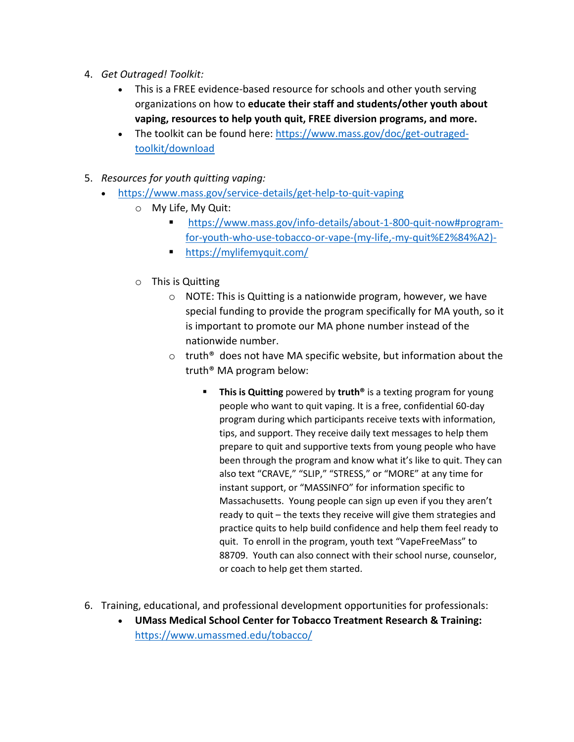- 4. *Get Outraged! Toolkit:*
	- This is a FREE evidence-based resource for schools and other youth serving organizations on how to **educate their staff and students/other youth about vaping, resources to help youth quit, FREE diversion programs, and more.**
	- The toolkit can be found here: [https://www.mass.gov/doc/get-outraged](https://www.mass.gov/doc/get-outraged-toolkit/download)[toolkit/download](https://www.mass.gov/doc/get-outraged-toolkit/download)
- 5. *Resources for youth quitting vaping:*
	- <https://www.mass.gov/service-details/get-help-to-quit-vaping>
		- o My Life, My Quit:
			- [https://www.mass.gov/info-details/about-1-800-quit-now#program](https://www.mass.gov/info-details/about-1-800-quit-now#program-for-youth-who-use-tobacco-or-vape-(my-life,-my-quit%E2%84%A2)-)[for-youth-who-use-tobacco-or-vape-\(my-life,-my-quit%E2%84%A2\)-](https://www.mass.gov/info-details/about-1-800-quit-now#program-for-youth-who-use-tobacco-or-vape-(my-life,-my-quit%E2%84%A2)-)
			- <https://mylifemyquit.com/>
		- o This is Quitting
			- o NOTE: This is Quitting is a nationwide program, however, we have special funding to provide the program specifically for MA youth, so it is important to promote our MA phone number instead of the nationwide number.
			- $\circ$  truth<sup>®</sup> does not have MA specific website, but information about the truth® MA program below:
				- This is Quitting powered by truth<sup>®</sup> is a texting program for young people who want to quit vaping. It is a free, confidential 60-day program during which participants receive texts with information, tips, and support. They receive daily text messages to help them prepare to quit and supportive texts from young people who have been through the program and know what it's like to quit. They can also text "CRAVE," "SLIP," "STRESS," or "MORE" at any time for instant support, or "MASSINFO" for information specific to Massachusetts. Young people can sign up even if you they aren't ready to quit – the texts they receive will give them strategies and practice quits to help build confidence and help them feel ready to quit. To enroll in the program, youth text "VapeFreeMass" to 88709. Youth can also connect with their school nurse, counselor, or coach to help get them started.
- 6. Training, educational, and professional development opportunities for professionals:
	- **UMass Medical School Center for Tobacco Treatment Research & Training:** <https://www.umassmed.edu/tobacco/>